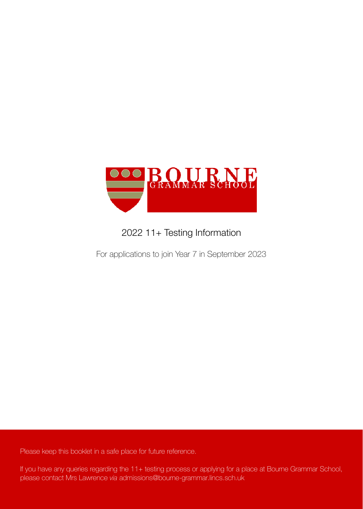

# 2022 11+ Testing Information

For applications to join Year 7 in September 2023

Please keep this booklet in a safe place for future reference.

If you have any queries regarding the 11+ testing process or applying for a place at Bourne Grammar School, please contact Mrs Lawrence *via* admissions@bourne-grammar.lincs.sch.uk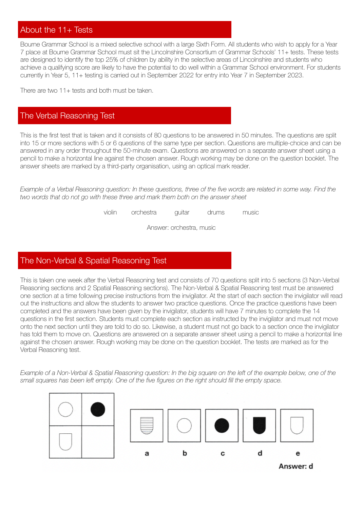## About the 11+ Tests

Bourne Grammar School is a mixed selective school with a large Sixth Form. All students who wish to apply for a Year 7 place at Bourne Grammar School must sit the Lincolnshire Consortium of Grammar Schools' 11+ tests. These tests are designed to identify the top 25% of children by ability in the selective areas of Lincolnshire and students who achieve a qualifying score are likely to have the potential to do well within a Grammar School environment. For students currently in Year 5, 11+ testing is carried out in September 2022 for entry into Year 7 in September 2023.

There are two 11+ tests and both must be taken.

## The Verbal Reasoning Test

This is the first test that is taken and it consists of 80 questions to be answered in 50 minutes. The questions are split into 15 or more sections with 5 or 6 questions of the same type per section. Questions are multiple-choice and can be answered in any order throughout the 50-minute exam. Questions are answered on a separate answer sheet using a pencil to make a horizontal line against the chosen answer. Rough working may be done on the question booklet. The answer sheets are marked by a third-party organisation, using an optical mark reader.

*Example of a Verbal Reasoning question: In these questions, three of the five words are related in some way. Find the two words that do not go with these three and mark them both on the answer sheet*

violin orchestra guitar drums music

Answer: orchestra, music

## The Non-Verbal & Spatial Reasoning Test

This is taken one week after the Verbal Reasoning test and consists of 70 questions split into 5 sections (3 Non-Verbal Reasoning sections and 2 Spatial Reasoning sections). The Non-Verbal & Spatial Reasoning test must be answered one section at a time following precise instructions from the invigilator. At the start of each section the invigilator will read out the instructions and allow the students to answer two practice questions. Once the practice questions have been completed and the answers have been given by the invigilator, students will have 7 minutes to complete the 14 questions in the first section. Students must complete each section as instructed by the invigilator and must not move onto the next section until they are told to do so. Likewise, a student must not go back to a section once the invigilator has told them to move on. Questions are answered on a separate answer sheet using a pencil to make a horizontal line against the chosen answer. Rough working may be done on the question booklet. The tests are marked as for the Verbal Reasoning test.

*Example of a Non-Verbal & Spatial Reasoning question: In the big square on the left of the example below, one of the small squares has been left empty. One of the five figures on the right should fill the empty space.* 

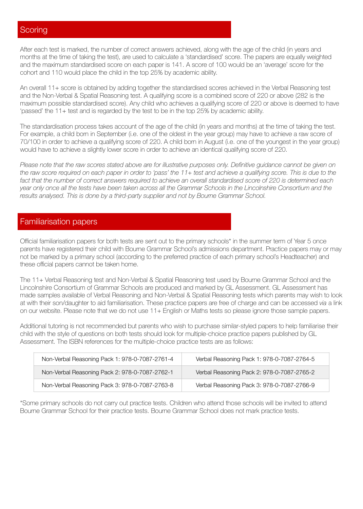After each test is marked, the number of correct answers achieved, along with the age of the child (in years and months at the time of taking the test), are used to calculate a 'standardised' score. The papers are equally weighted and the maximum standardised score on each paper is 141. A score of 100 would be an 'average' score for the cohort and 110 would place the child in the top 25% by academic ability.

An overall 11+ score is obtained by adding together the standardised scores achieved in the Verbal Reasoning test and the Non-Verbal & Spatial Reasoning test. A qualifying score is a combined score of 220 or above (282 is the maximum possible standardised score). Any child who achieves a qualifying score of 220 or above is deemed to have 'passed' the 11+ test and is regarded by the test to be in the top 25% by academic ability.

The standardisation process takes account of the age of the child (in years and months) at the time of taking the test. For example, a child born in September (i.e. one of the oldest in the year group) may have to achieve a raw score of 70/100 in order to achieve a qualifying score of 220. A child born in August (i.e. one of the youngest in the year group) would have to achieve a slightly lower score in order to achieve an identical qualifying score of 220.

*Please note that the raw scores stated above are for illustrative purposes only. Definitive guidance cannot be given on the raw score required on each paper in order to 'pass' the 11+ test and achieve a qualifying score. This is due to the fact that the number of correct answers required to achieve an overall standardised score of 220 is determined each year only once all the tests have been taken across all the Grammar Schools in the Lincolnshire Consortium and the*  results analysed. This is done by a third-party supplier and not by Bourne Grammar School.

## Familiarisation papers

Official familiarisation papers for both tests are sent out to the primary schools\* in the summer term of Year 5 once parents have registered their child with Bourne Grammar School's admissions department. Practice papers may or may not be marked by a primary school (according to the preferred practice of each primary school's Headteacher) and these official papers cannot be taken home.

The 11+ Verbal Reasoning test and Non-Verbal & Spatial Reasoning test used by Bourne Grammar School and the Lincolnshire Consortium of Grammar Schools are produced and marked by GL Assessment. GL Assessment has made samples available of Verbal Reasoning and Non-Verbal & Spatial Reasoning tests which parents may wish to look at with their son/daughter to aid familiarisation. These practice papers are free of charge and can be accessed *via* a link on our website. Please note that we do not use 11+ English or Maths tests so please ignore those sample papers.

Additional tutoring is not recommended but parents who wish to purchase similar-styled papers to help familiarise their child with the style of questions on both tests should look for multiple-choice practice papers published by GL Assessment. The ISBN references for the multiple-choice practice tests are as follows:

| Non-Verbal Reasoning Pack 1: 978-0-7087-2761-4 | Verbal Reasoning Pack 1: 978-0-7087-2764-5 |
|------------------------------------------------|--------------------------------------------|
| Non-Verbal Reasoning Pack 2: 978-0-7087-2762-1 | Verbal Reasoning Pack 2: 978-0-7087-2765-2 |
| Non-Verbal Reasoning Pack 3: 978-0-7087-2763-8 | Verbal Reasoning Pack 3: 978-0-7087-2766-9 |

\*Some primary schools do not carry out practice tests. Children who attend those schools will be invited to attend Bourne Grammar School for their practice tests. Bourne Grammar School does not mark practice tests.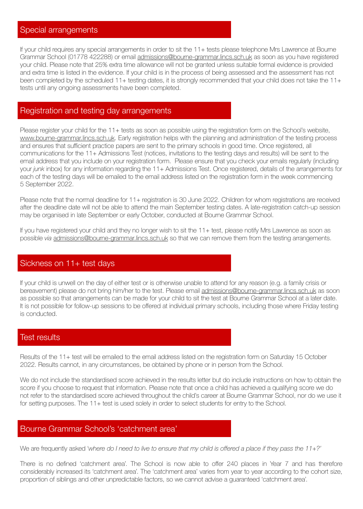#### Special arrangements

If your child requires any special arrangements in order to sit the 11+ tests please telephone Mrs Lawrence at Bourne Grammar School (01778 422288) or email [admissions@bourne-grammar.lincs.sch.uk](mailto:admissions@bourne-grammar.lincs.sch.uk) as soon as you have registered your child. Please note that 25% extra time allowance will not be granted unless suitable formal evidence is provided and extra time is listed in the evidence. If your child is in the process of being assessed and the assessment has not been completed by the scheduled 11+ testing dates, it is strongly recommended that your child does not take the 11+ tests until any ongoing assessments have been completed.

#### Registration and testing day arrangements

Please register your child for the 11+ tests as soon as possible using the registration form on the School's website, [www.bourne-grammar.lincs.sch.uk](http://www.bourne-grammar.lincs.sch.uk). Early registration helps with the planning and administration of the testing process and ensures that sufficient practice papers are sent to the primary schools in good time. Once registered, all communications for the 11+ Admissions Test (notices, invitations to the testing days and results) will be sent to the email address that you include on your registration form. Please ensure that you check your emails regularly (including your *junk* inbox) for any information regarding the 11+ Admissions Test. Once registered, details of the arrangements for each of the testing days will be emailed to the email address listed on the registration form in the week commencing 5 September 2022.

Please note that the normal deadline for 11+ registration is 30 June 2022. Children for whom registrations are received after the deadline date will not be able to attend the main September testing dates. A late-registration catch-up session may be organised in late September or early October, conducted at Bourne Grammar School.

If you have registered your child and they no longer wish to sit the 11+ test, please notify Mrs Lawrence as soon as possible *via* [admissions@bourne-grammar.lincs.sch.uk](mailto:admissions@bourne-grammar.lincs.sch.uk) so that we can remove them from the testing arrangements.

#### Sickness on 11+ test days

If your child is unwell on the day of either test or is otherwise unable to attend for any reason (e.g. a family crisis or bereavement) please do not bring him/her to the test. Please email [admissions@bourne-grammar.lincs.sch.uk](mailto:admissions@bourne-grammar.lincs.sch.uk) as soon as possible so that arrangements can be made for your child to sit the test at Bourne Grammar School at a later date. It is not possible for follow-up sessions to be offered at individual primary schools, including those where Friday testing is conducted.

#### Test results

Results of the 11+ test will be emailed to the email address listed on the registration form on Saturday 15 October 2022. Results cannot, in any circumstances, be obtained by phone or in person from the School.

We do not include the standardised score achieved in the results letter but do include instructions on how to obtain the score if you choose to request that information. Please note that once a child has achieved a qualifying score we do not refer to the standardised score achieved throughout the child's career at Bourne Grammar School, nor do we use it for setting purposes. The 11+ test is used solely in order to select students for entry to the School.

#### Bourne Grammar School's 'catchment area'

We are frequently asked '*where do I need to live to ensure that my child is offered a place if they pass the 11+?'*

There is no defined 'catchment area'. The School is now able to offer 240 places in Year 7 and has therefore considerably increased its 'catchment area'. The 'catchment area' varies from year to year according to the cohort size, proportion of siblings and other unpredictable factors, so we cannot advise a guaranteed 'catchment area'.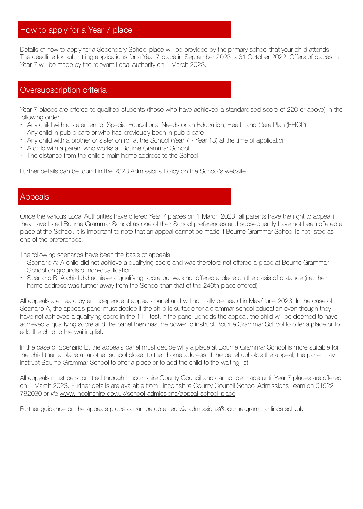### How to apply for a Year 7 place

Details of how to apply for a Secondary School place will be provided by the primary school that your child attends. The deadline for submitting applications for a Year 7 place in September 2023 is 31 October 2022. Offers of places in Year 7 will be made by the relevant Local Authority on 1 March 2023.

## Oversubscription criteria

Year 7 places are offered to qualified students (those who have achieved a standardised score of 220 or above) in the following order:

- Any child with a statement of Special Educational Needs or an Education, Health and Care Plan (EHCP)
- Any child in public care or who has previously been in public care
- Any child with a brother or sister on roll at the School (Year 7 Year 13) at the time of application
- A child with a parent who works at Bourne Grammar School
- The distance from the child's main home address to the School

Further details can be found in the 2023 Admissions Policy on the School's website.

#### Appeals

Once the various Local Authorities have offered Year 7 places on 1 March 2023, all parents have the right to appeal if they have listed Bourne Grammar School as one of their School preferences and subsequently have not been offered a place at the School. It is important to note that an appeal cannot be made if Bourne Grammar School is not listed as one of the preferences.

The following scenarios have been the basis of appeals:

- Scenario A: A child did not achieve a qualifying score and was therefore not offered a place at Bourne Grammar School on grounds of non-qualification
- Scenario B: A child did achieve a qualifying score but was not offered a place on the basis of distance (i.e. their home address was further away from the School than that of the 240th place offered)

All appeals are heard by an independent appeals panel and will normally be heard in May/June 2023. In the case of Scenario A, the appeals panel must decide if the child is suitable for a grammar school education even though they have not achieved a qualifying score in the 11+ test. If the panel upholds the appeal, the child will be deemed to have achieved a qualifying score and the panel then has the power to instruct Bourne Grammar School to offer a place or to add the child to the waiting list.

In the case of Scenario B, the appeals panel must decide why a place at Bourne Grammar School is more suitable for the child than a place at another school closer to their home address. If the panel upholds the appeal, the panel may instruct Bourne Grammar School to offer a place or to add the child to the waiting list.

All appeals must be submitted through Lincolnshire County Council and cannot be made until Year 7 places are offered on 1 March 2023. Further details are available from Lincolnshire County Council School Admissions Team on 01522 782030 or *via* [www.lincolnshire.gov.uk/school-admissions/appeal-school-place](http://www.lincolnshire.gov.uk/school-admissions/appeal-school-place)

Further guidance on the appeals process can be obtained *via* [admissions@bourne-grammar.lincs.sch.uk](mailto:admissions@bourne-grammar.lincs.sch.uk)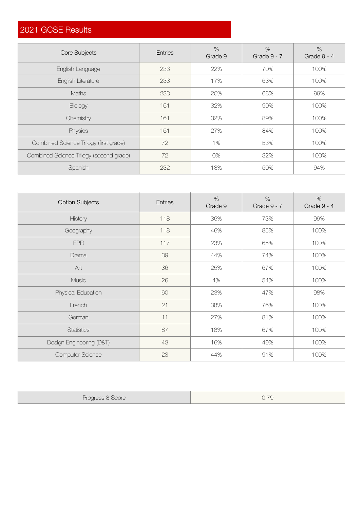## 2021 GCSE Results

| Core Subjects                           | <b>Entries</b> | $\%$<br>Grade 9 | $\%$<br>Grade 9 - 7 | $\%$<br>Grade 9 - 4 |
|-----------------------------------------|----------------|-----------------|---------------------|---------------------|
| English Language                        | 233            | 22%             | 70%                 | 100%                |
| English Literature                      | 233            | 17%             | 63%                 | 100%                |
| <b>Maths</b>                            | 233            | 20%             | 68%                 | 99%                 |
| <b>Biology</b>                          | 161            | 32%             | 90%                 | 100%                |
| Chemistry                               | 161            | 32%             | 89%                 | 100%                |
| Physics                                 | 161            | 27%             | 84%                 | 100%                |
| Combined Science Trilogy (first grade)  | 72             | 1%              | 53%                 | 100%                |
| Combined Science Trilogy (second grade) | 72             | 0%              | 32%                 | 100%                |
| Spanish                                 | 232            | 18%             | 50%                 | 94%                 |

| <b>Option Subjects</b>   | <b>Entries</b> | $\%$<br>Grade 9 | $\%$<br>Grade 9 - 7 | $\%$<br>Grade 9 - 4 |
|--------------------------|----------------|-----------------|---------------------|---------------------|
| History                  | 118            | 36%             | 73%                 | 99%                 |
| Geography                | 118            | 46%             | 85%                 | 100%                |
| <b>EPR</b>               | 117            | 23%             | 65%                 | 100%                |
| Drama                    | 39             | 44%             | 74%                 | 100%                |
| Art                      | 36             | 25%             | 67%                 | 100%                |
| Music                    | 26             | 4%              | 54%                 | 100%                |
| Physical Education       | 60             | 23%             | 47%                 | 98%                 |
| French                   | 21             | 38%             | 76%                 | 100%                |
| German                   | 11             | 27%             | 81%                 | 100%                |
| <b>Statistics</b>        | 87             | 18%             | 67%                 | 100%                |
| Design Engineering (D&T) | 43             | 16%             | 49%                 | 100%                |
| <b>Computer Science</b>  | 23             | 44%             | 91%                 | 100%                |

| Progress 8 Score | 0.79 |
|------------------|------|
|------------------|------|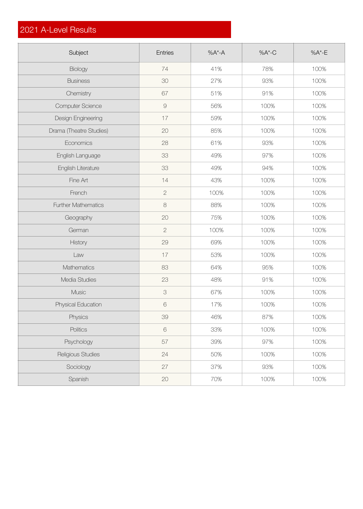## 2021 A-Level Results

| Subject                    | Entries               | $%A^*$ -A | $%A$ <sup>*</sup> -C | $%A^{\star}$ -E |
|----------------------------|-----------------------|-----------|----------------------|-----------------|
| <b>Biology</b>             | 74                    | 41%       | 78%                  | 100%            |
| <b>Business</b>            | 30                    | 27%       | 93%                  | 100%            |
| Chemistry                  | 67                    | 51%       | 91%                  | 100%            |
| Computer Science           | $\hbox{\large\it{Q}}$ | 56%       | 100%                 | 100%            |
| Design Engineering         | 17                    | 59%       | 100%                 | 100%            |
| Drama (Theatre Studies)    | 20                    | 85%       | 100%                 | 100%            |
| Economics                  | 28                    | 61%       | 93%                  | 100%            |
| English Language           | 33                    | 49%       | 97%                  | 100%            |
| English Literature         | 33                    | 49%       | 94%                  | 100%            |
| Fine Art                   | 14                    | 43%       | 100%                 | 100%            |
| French                     | $\overline{2}$        | 100%      | 100%                 | 100%            |
| <b>Further Mathematics</b> | $\,8\,$               | 88%       | 100%                 | 100%            |
| Geography                  | 20                    | 75%       | 100%                 | 100%            |
| German                     | $\overline{2}$        | 100%      | 100%                 | 100%            |
| History                    | 29                    | 69%       | 100%                 | 100%            |
| Law                        | 17                    | 53%       | 100%                 | 100%            |
| Mathematics                | 83                    | 64%       | 95%                  | 100%            |
| Media Studies              | 23                    | 48%       | 91%                  | 100%            |
| Music                      | 3                     | 67%       | 100%                 | 100%            |
| Physical Education         | 6                     | 17%       | 100%                 | 100%            |
| Physics                    | 39                    | 46%       | 87%                  | 100%            |
| Politics                   | $\mathbf 6$           | 33%       | 100%                 | 100%            |
| Psychology                 | 57                    | 39%       | 97%                  | 100%            |
| Religious Studies          | 24                    | 50%       | 100%                 | 100%            |
| Sociology                  | 27                    | 37%       | 93%                  | 100%            |
| Spanish                    | 20                    | 70%       | 100%                 | 100%            |